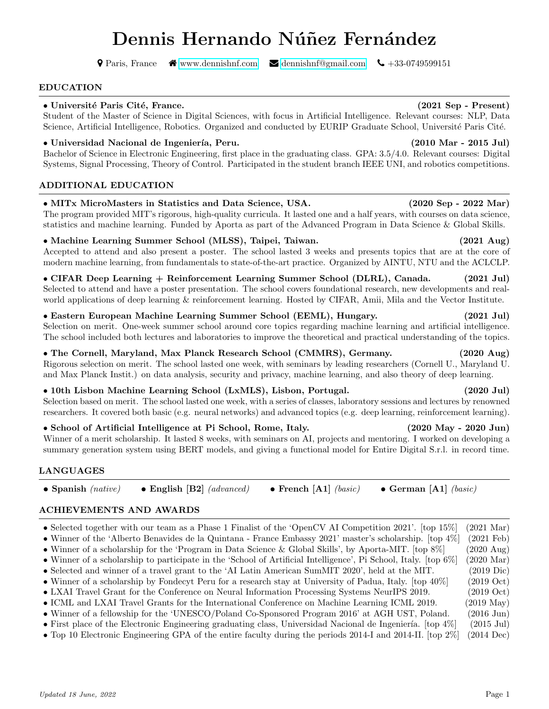# Dennis Hernando Núñez Fernández

**P** Paris, France  $\bullet$  [www.dennishnf.com](http://dennishnf.com)  $\bullet$  [dennishnf@gmail.com](mailto:dennishnf@gmail.com)  $\bullet$  +33-0749599151

#### EDUCATION

#### • Université Paris Cité, France. (2021 Sep - Present)

Student of the Master of Science in Digital Sciences, with focus in Artificial Intelligence. Relevant courses: NLP, Data Science, Artificial Intelligence, Robotics. Organized and conducted by EURIP Graduate School, Université Paris Cité.

#### • Universidad Nacional de Ingenier´ıa, Peru. (2010 Mar - 2015 Jul)

Bachelor of Science in Electronic Engineering, first place in the graduating class. GPA: 3.5/4.0. Relevant courses: Digital Systems, Signal Processing, Theory of Control. Participated in the student branch IEEE UNI, and robotics competitions.

### ADDITIONAL EDUCATION

### • MITx MicroMasters in Statistics and Data Science, USA. (2020 Sep - 2022 Mar)

The program provided MIT's rigorous, high-quality curricula. It lasted one and a half years, with courses on data science, statistics and machine learning. Funded by Aporta as part of the Advanced Program in Data Science & Global Skills.

### • Machine Learning Summer School (MLSS), Taipei, Taiwan. (2021 Aug)

Accepted to attend and also present a poster. The school lasted 3 weeks and presents topics that are at the core of modern machine learning, from fundamentals to state-of-the-art practice. Organized by AINTU, NTU and the ACLCLP.

• CIFAR Deep Learning + Reinforcement Learning Summer School (DLRL), Canada. (2021 Jul) Selected to attend and have a poster presentation. The school covers foundational research, new developments and realworld applications of deep learning & reinforcement learning. Hosted by CIFAR, Amii, Mila and the Vector Institute.

### • Eastern European Machine Learning Summer School (EEML), Hungary. (2021 Jul)

Selection on merit. One-week summer school around core topics regarding machine learning and artificial intelligence. The school included both lectures and laboratories to improve the theoretical and practical understanding of the topics.

### • The Cornell, Maryland, Max Planck Research School (CMMRS), Germany. (2020 Aug)

Rigorous selection on merit. The school lasted one week, with seminars by leading researchers (Cornell U., Maryland U. and Max Planck Instit.) on data analysis, security and privacy, machine learning, and also theory of deep learning.

#### • 10th Lisbon Machine Learning School (LxMLS), Lisbon, Portugal. (2020 Jul)

Selection based on merit. The school lasted one week, with a series of classes, laboratory sessions and lectures by renowned researchers. It covered both basic (e.g. neural networks) and advanced topics (e.g. deep learning, reinforcement learning).

### • School of Artificial Intelligence at Pi School, Rome, Italy. (2020 May - 2020 Jun)

Winner of a merit scholarship. It lasted 8 weeks, with seminars on AI, projects and mentoring. I worked on developing a summary generation system using BERT models, and giving a functional model for Entire Digital S.r.l. in record time.

#### LANGUAGES

|  | • Spanish $(native)$ • English [B2] $(advanced)$ • French [A1] $(basic)$ • German [A1] $(basic)$ |  |  |
|--|--------------------------------------------------------------------------------------------------|--|--|
|--|--------------------------------------------------------------------------------------------------|--|--|

### ACHIEVEMENTS AND AWARDS

- Selected together with our team as a Phase 1 Finalist of the 'OpenCV AI Competition 2021'. [top 15%] (2021 Mar)
- Winner of the 'Alberto Benavides de la Quintana France Embassy 2021' master's scholarship. [top 4%] (2021 Feb)
- Winner of a scholarship for the 'Program in Data Science & Global Skills', by Aporta-MIT. [top 8%] (2020 Aug)
- Winner of a scholarship to participate in the 'School of Artificial Intelligence', Pi School, Italy. [top 6\%] (2020 Mar)
- Selected and winner of a travel grant to the 'AI Latin American SumMIT 2020', held at the MIT. (2019 Dic)
- Winner of a scholarship by Fondecyt Peru for a research stay at University of Padua, Italy. [top  $40\%$ ] (2019 Oct)
- LXAI Travel Grant for the Conference on Neural Information Processing Systems NeurIPS 2019. (2019 Oct)
- ICML and LXAI Travel Grants for the International Conference on Machine Learning ICML 2019. (2019 May)
- Winner of a fellowship for the 'UNESCO/Poland Co-Sponsored Program 2016' at AGH UST, Poland. (2016 Jun)
- First place of the Electronic Engineering graduating class, Universidad Nacional de Ingeniería. [top  $4\%$ ] (2015 Jul) • Top 10 Electronic Engineering GPA of the entire faculty during the periods 2014-I and 2014-II. [top 2%] (2014 Dec)
-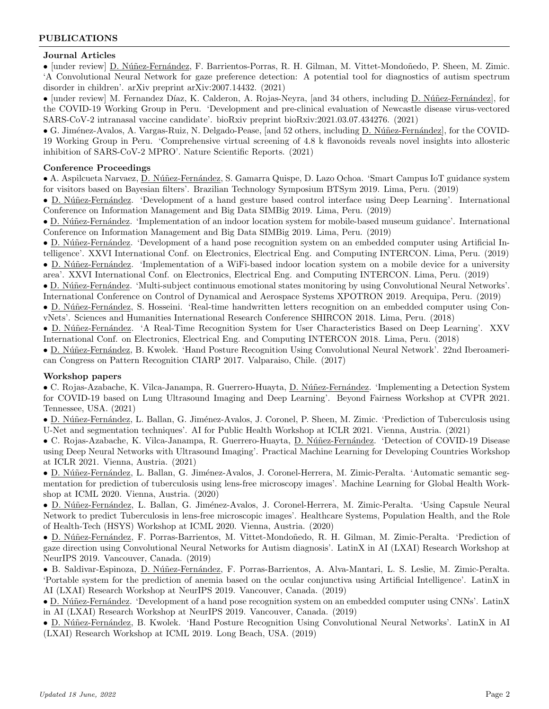### PUBLICATIONS

#### Journal Articles

• [under review] D. Núñez-Fernández, F. Barrientos-Porras, R. H. Gilman, M. Vittet-Mondoñedo, P. Sheen, M. Zimic. 'A Convolutional Neural Network for gaze preference detection: A potential tool for diagnostics of autism spectrum disorder in children'. arXiv preprint arXiv:2007.14432. (2021)

• [under review] M. Fernandez Díaz, K. Calderon, A. Rojas-Neyra, [and 34 others, including D. Núñez-Fernández], for the COVID-19 Working Group in Peru. 'Development and pre-clinical evaluation of Newcastle disease virus-vectored SARS-CoV-2 intranasal vaccine candidate'. bioRxiv preprint bioRxiv:2021.03.07.434276. (2021)

• G. Jiménez-Avalos, A. Vargas-Ruiz, N. Delgado-Pease, [and 52 others, including D. Núñez-Fernández], for the COVID-19 Working Group in Peru. 'Comprehensive virtual screening of 4.8 k flavonoids reveals novel insights into allosteric inhibition of SARS-CoV-2 MPRO'. Nature Scientific Reports. (2021)

#### Conference Proceedings

• A. Aspilcueta Narvaez, D. Núñez-Fernández, S. Gamarra Quispe, D. Lazo Ochoa. 'Smart Campus IoT guidance system for visitors based on Bayesian filters'. Brazilian Technology Symposium BTSym 2019. Lima, Peru. (2019)

• D. Núñez-Fernández. 'Development of a hand gesture based control interface using Deep Learning'. International Conference on Information Management and Big Data SIMBig 2019. Lima, Peru. (2019)

• D. Núñez-Fernández. 'Implementation of an indoor location system for mobile-based museum guidance'. International Conference on Information Management and Big Data SIMBig 2019. Lima, Peru. (2019)

• D. Núñez-Fernández. 'Development of a hand pose recognition system on an embedded computer using Artificial Intelligence'. XXVI International Conf. on Electronics, Electrical Eng. and Computing INTERCON. Lima, Peru. (2019) • D. Núñez-Fernández. 'Implementation of a WiFi-based indoor location system on a mobile device for a university

area'. XXVI International Conf. on Electronics, Electrical Eng. and Computing INTERCON. Lima, Peru. (2019)

• D. Núñez-Fernández. 'Multi-subject continuous emotional states monitoring by using Convolutional Neural Networks'. International Conference on Control of Dynamical and Aerospace Systems XPOTRON 2019. Arequipa, Peru. (2019)

• D. Núñez-Fernández, S. Hosseini. 'Real-time handwritten letters recognition on an embedded computer using ConvNets'. Sciences and Humanities International Research Conference SHIRCON 2018. Lima, Peru. (2018)

• D. Núñez-Fernández. 'A Real-Time Recognition System for User Characteristics Based on Deep Learning'. XXV International Conf. on Electronics, Electrical Eng. and Computing INTERCON 2018. Lima, Peru. (2018)

• D. Núñez-Fernández, B. Kwolek. 'Hand Posture Recognition Using Convolutional Neural Network'. 22nd Iberoamerican Congress on Pattern Recognition CIARP 2017. Valparaiso, Chile. (2017)

### Workshop papers

• C. Rojas-Azabache, K. Vilca-Janampa, R. Guerrero-Huayta, D. Núñez-Fernández. 'Implementing a Detection System for COVID-19 based on Lung Ultrasound Imaging and Deep Learning'. Beyond Fairness Workshop at CVPR 2021. Tennessee, USA. (2021)

• D. Núñez-Fernández, L. Ballan, G. Jiménez-Avalos, J. Coronel, P. Sheen, M. Zimic. 'Prediction of Tuberculosis using U-Net and segmentation techniques'. AI for Public Health Workshop at ICLR 2021. Vienna, Austria. (2021)

• C. Rojas-Azabache, K. Vilca-Janampa, R. Guerrero-Huayta, <u>D. Núñez-Fernández</u>. 'Detection of COVID-19 Disease using Deep Neural Networks with Ultrasound Imaging'. Practical Machine Learning for Developing Countries Workshop at ICLR 2021. Vienna, Austria. (2021)

• D. Núñez-Fernández, L. Ballan, G. Jiménez-Avalos, J. Coronel-Herrera, M. Zimic-Peralta. 'Automatic semantic segmentation for prediction of tuberculosis using lens-free microscopy images'. Machine Learning for Global Health Workshop at ICML 2020. Vienna, Austria. (2020)

• D. Núñez-Fernández, L. Ballan, G. Jiménez-Avalos, J. Coronel-Herrera, M. Zimic-Peralta. 'Using Capsule Neural Network to predict Tuberculosis in lens-free microscopic images'. Healthcare Systems, Population Health, and the Role of Health-Tech (HSYS) Workshop at ICML 2020. Vienna, Austria. (2020)

• D. Núñez-Fernández, F. Porras-Barrientos, M. Vittet-Mondoñedo, R. H. Gilman, M. Zimic-Peralta. 'Prediction of gaze direction using Convolutional Neural Networks for Autism diagnosis'. LatinX in AI (LXAI) Research Workshop at NeurIPS 2019. Vancouver, Canada. (2019)

• B. Saldivar-Espinoza, D. Núñez-Fernández, F. Porras-Barrientos, A. Alva-Mantari, L. S. Leslie, M. Zimic-Peralta. 'Portable system for the prediction of anemia based on the ocular conjunctiva using Artificial Intelligence'. LatinX in AI (LXAI) Research Workshop at NeurIPS 2019. Vancouver, Canada. (2019)

• D. Núñez-Fernández. 'Development of a hand pose recognition system on an embedded computer using CNNs'. LatinX in AI (LXAI) Research Workshop at NeurIPS 2019. Vancouver, Canada. (2019)

• D. Núñez-Fernández, B. Kwolek. 'Hand Posture Recognition Using Convolutional Neural Networks'. LatinX in AI (LXAI) Research Workshop at ICML 2019. Long Beach, USA. (2019)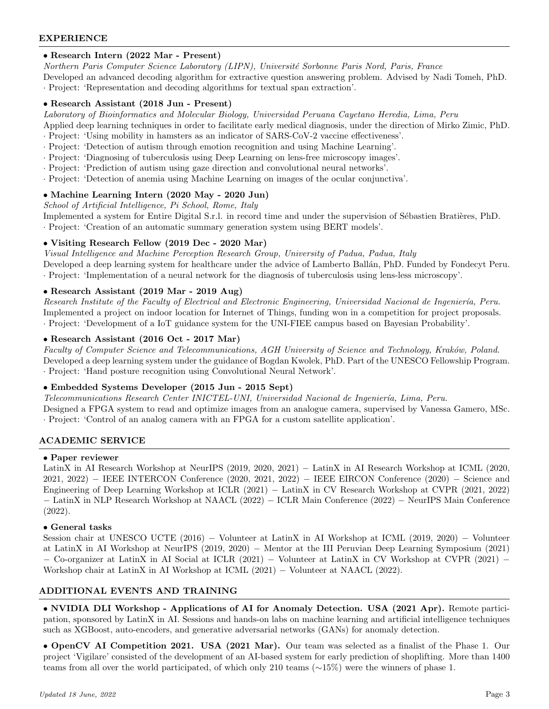#### EXPERIENCE

# • Research Intern (2022 Mar - Present)

Northern Paris Computer Science Laboratory (LIPN), Université Sorbonne Paris Nord, Paris, France

Developed an advanced decoding algorithm for extractive question answering problem. Advised by Nadi Tomeh, PhD. · Project: 'Representation and decoding algorithms for textual span extraction'.

# • Research Assistant (2018 Jun - Present)

Laboratory of Bioinformatics and Molecular Biology, Universidad Peruana Cayetano Heredia, Lima, Peru

Applied deep learning techniques in order to facilitate early medical diagnosis, under the direction of Mirko Zimic, PhD. · Project: 'Using mobility in hamsters as an indicator of SARS-CoV-2 vaccine effectiveness'.

- · Project: 'Detection of autism through emotion recognition and using Machine Learning'.
- · Project: 'Diagnosing of tuberculosis using Deep Learning on lens-free microscopy images'.
- · Project: 'Prediction of autism using gaze direction and convolutional neural networks'.
- · Project: 'Detection of anemia using Machine Learning on images of the ocular conjunctiva'.

# • Machine Learning Intern (2020 May - 2020 Jun)

School of Artificial Intelligence, Pi School, Rome, Italy

Implemented a system for Entire Digital S.r.l. in record time and under the supervision of Sébastien Bratières, PhD. · Project: 'Creation of an automatic summary generation system using BERT models'.

# • Visiting Research Fellow (2019 Dec - 2020 Mar)

Visual Intelligence and Machine Perception Research Group, University of Padua, Padua, Italy Developed a deep learning system for healthcare under the advice of Lamberto Ballán, PhD. Funded by Fondecyt Peru.

· Project: 'Implementation of a neural network for the diagnosis of tuberculosis using lens-less microscopy'.

# • Research Assistant (2019 Mar - 2019 Aug)

Research Institute of the Faculty of Electrical and Electronic Engineering, Universidad Nacional de Ingeniería, Peru. Implemented a project on indoor location for Internet of Things, funding won in a competition for project proposals. · Project: 'Development of a IoT guidance system for the UNI-FIEE campus based on Bayesian Probability'.

# • Research Assistant (2016 Oct - 2017 Mar)

Faculty of Computer Science and Telecommunications, AGH University of Science and Technology, Kraków, Poland. Developed a deep learning system under the guidance of Bogdan Kwolek, PhD. Part of the UNESCO Fellowship Program. · Project: 'Hand posture recognition using Convolutional Neural Network'.

# • Embedded Systems Developer (2015 Jun - 2015 Sept)

Telecommunications Research Center INICTEL-UNI, Universidad Nacional de Ingeniería, Lima, Peru. Designed a FPGA system to read and optimize images from an analogue camera, supervised by Vanessa Gamero, MSc. · Project: 'Control of an analog camera with an FPGA for a custom satellite application'.

# ACADEMIC SERVICE

# • Paper reviewer

LatinX in AI Research Workshop at NeurIPS (2019, 2020, 2021) − LatinX in AI Research Workshop at ICML (2020, 2021, 2022) − IEEE INTERCON Conference (2020, 2021, 2022) − IEEE EIRCON Conference (2020) − Science and Engineering of Deep Learning Workshop at ICLR (2021) − LatinX in CV Research Workshop at CVPR (2021, 2022) − LatinX in NLP Research Workshop at NAACL (2022) − ICLR Main Conference (2022) − NeurIPS Main Conference (2022).

# • General tasks

Session chair at UNESCO UCTE (2016) − Volunteer at LatinX in AI Workshop at ICML (2019, 2020) − Volunteer at LatinX in AI Workshop at NeurIPS (2019, 2020) − Mentor at the III Peruvian Deep Learning Symposium (2021) − Co-organizer at LatinX in AI Social at ICLR (2021) − Volunteer at LatinX in CV Workshop at CVPR (2021) − Workshop chair at LatinX in AI Workshop at ICML (2021) − Volunteer at NAACL (2022).

# ADDITIONAL EVENTS AND TRAINING

• NVIDIA DLI Workshop - Applications of AI for Anomaly Detection. USA (2021 Apr). Remote participation, sponsored by LatinX in AI. Sessions and hands-on labs on machine learning and artificial intelligence techniques such as XGBoost, auto-encoders, and generative adversarial networks (GANs) for anomaly detection.

• OpenCV AI Competition 2021. USA (2021 Mar). Our team was selected as a finalist of the Phase 1. Our project 'Vigilare' consisted of the development of an AI-based system for early prediction of shoplifting. More than 1400 teams from all over the world participated, of which only 210 teams (∼15%) were the winners of phase 1.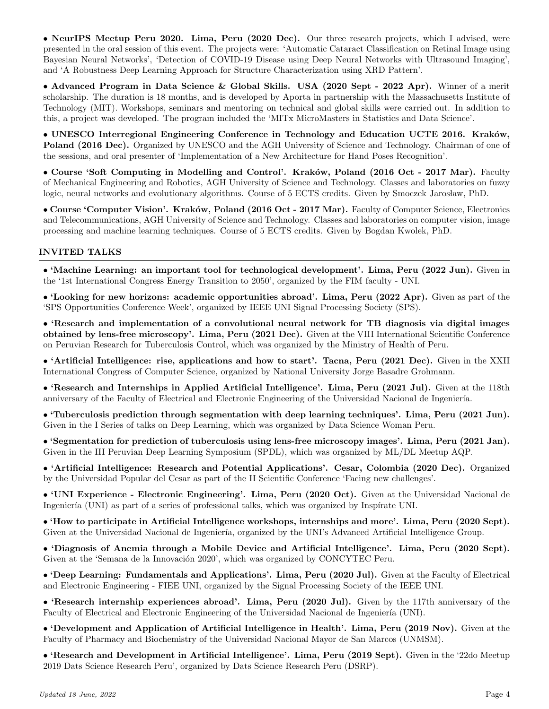• NeurIPS Meetup Peru 2020. Lima, Peru (2020 Dec). Our three research projects, which I advised, were presented in the oral session of this event. The projects were: 'Automatic Cataract Classification on Retinal Image using Bayesian Neural Networks', 'Detection of COVID-19 Disease using Deep Neural Networks with Ultrasound Imaging', and 'A Robustness Deep Learning Approach for Structure Characterization using XRD Pattern'.

• Advanced Program in Data Science & Global Skills. USA (2020 Sept - 2022 Apr). Winner of a merit scholarship. The duration is 18 months, and is developed by Aporta in partnership with the Massachusetts Institute of Technology (MIT). Workshops, seminars and mentoring on technical and global skills were carried out. In addition to this, a project was developed. The program included the 'MITx MicroMasters in Statistics and Data Science'.

• UNESCO Interregional Engineering Conference in Technology and Education UCTE 2016. Kraków, Poland (2016 Dec). Organized by UNESCO and the AGH University of Science and Technology. Chairman of one of the sessions, and oral presenter of 'Implementation of a New Architecture for Hand Poses Recognition'.

• Course 'Soft Computing in Modelling and Control'. Kraków, Poland (2016 Oct - 2017 Mar). Faculty of Mechanical Engineering and Robotics, AGH University of Science and Technology. Classes and laboratories on fuzzy logic, neural networks and evolutionary algorithms. Course of 5 ECTS credits. Given by Smoczek Jarosław, PhD.

• Course 'Computer Vision'. Kraków, Poland (2016 Oct - 2017 Mar). Faculty of Computer Science, Electronics and Telecommunications, AGH University of Science and Technology. Classes and laboratories on computer vision, image processing and machine learning techniques. Course of 5 ECTS credits. Given by Bogdan Kwolek, PhD.

### INVITED TALKS

• 'Machine Learning: an important tool for technological development'. Lima, Peru (2022 Jun). Given in the '1st International Congress Energy Transition to 2050', organized by the FIM faculty - UNI.

• 'Looking for new horizons: academic opportunities abroad'. Lima, Peru (2022 Apr). Given as part of the 'SPS Opportunities Conference Week', organized by IEEE UNI Signal Processing Society (SPS).

• 'Research and implementation of a convolutional neural network for TB diagnosis via digital images obtained by lens-free microscopy'. Lima, Peru (2021 Dec). Given at the VIII International Scientific Conference on Peruvian Research for Tuberculosis Control, which was organized by the Ministry of Health of Peru.

• 'Artificial Intelligence: rise, applications and how to start'. Tacna, Peru (2021 Dec). Given in the XXII International Congress of Computer Science, organized by National University Jorge Basadre Grohmann.

• 'Research and Internships in Applied Artificial Intelligence'. Lima, Peru (2021 Jul). Given at the 118th anniversary of the Faculty of Electrical and Electronic Engineering of the Universidad Nacional de Ingeniería.

• 'Tuberculosis prediction through segmentation with deep learning techniques'. Lima, Peru (2021 Jun). Given in the I Series of talks on Deep Learning, which was organized by Data Science Woman Peru.

• 'Segmentation for prediction of tuberculosis using lens-free microscopy images'. Lima, Peru (2021 Jan). Given in the III Peruvian Deep Learning Symposium (SPDL), which was organized by ML/DL Meetup AQP.

• 'Artificial Intelligence: Research and Potential Applications'. Cesar, Colombia (2020 Dec). Organized by the Universidad Popular del Cesar as part of the II Scientific Conference 'Facing new challenges'.

• 'UNI Experience - Electronic Engineering'. Lima, Peru (2020 Oct). Given at the Universidad Nacional de Ingeniería (UNI) as part of a series of professional talks, which was organized by Inspirate UNI.

• 'How to participate in Artificial Intelligence workshops, internships and more'. Lima, Peru (2020 Sept). Given at the Universidad Nacional de Ingeniería, organized by the UNI's Advanced Artificial Intelligence Group.

• 'Diagnosis of Anemia through a Mobile Device and Artificial Intelligence'. Lima, Peru (2020 Sept). Given at the 'Semana de la Innovación 2020', which was organized by CONCYTEC Peru.

• 'Deep Learning: Fundamentals and Applications'. Lima, Peru (2020 Jul). Given at the Faculty of Electrical and Electronic Engineering - FIEE UNI, organized by the Signal Processing Society of the IEEE UNI.

• Research internship experiences abroad'. Lima, Peru (2020 Jul). Given by the 117th anniversary of the Faculty of Electrical and Electronic Engineering of the Universidad Nacional de Ingeniería (UNI).

• 'Development and Application of Artificial Intelligence in Health'. Lima, Peru (2019 Nov). Given at the Faculty of Pharmacy and Biochemistry of the Universidad Nacional Mayor de San Marcos (UNMSM).

• 'Research and Development in Artificial Intelligence'. Lima, Peru (2019 Sept). Given in the '22do Meetup 2019 Dats Science Research Peru', organized by Dats Science Research Peru (DSRP).